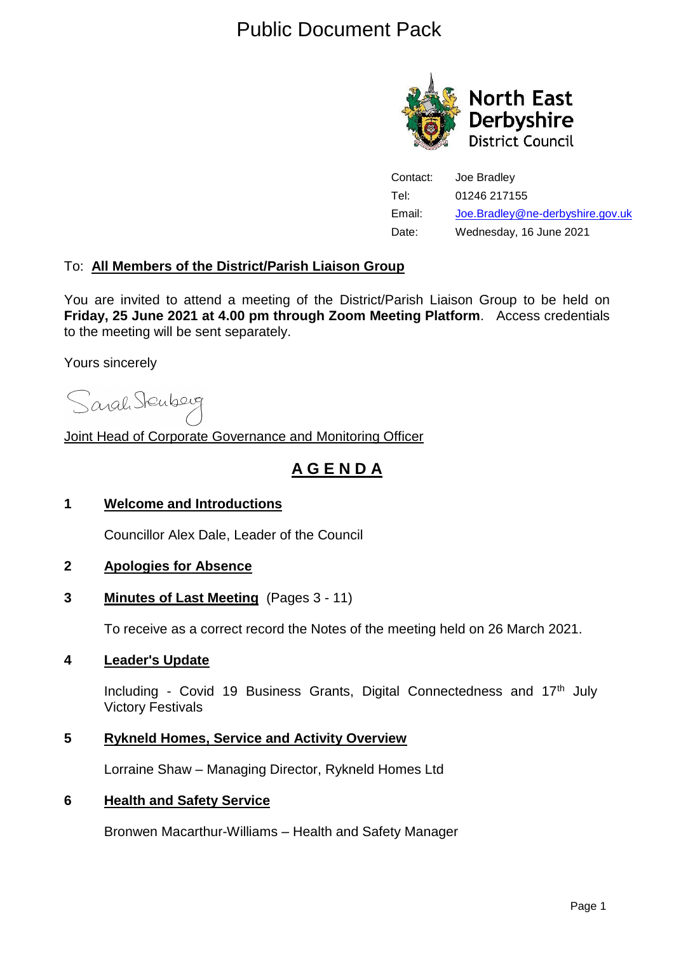## Public Document Pack



Contact: Joe Bradley Tel: 01246 217155 Email: [Joe.Bradley@ne-derbyshire.gov.uk](mailto:Joe.Bradley@ne-derbyshire.gov.uk) Date: Wednesday, 16 June 2021

### To: **All Members of the District/Parish Liaison Group**

You are invited to attend a meeting of the District/Parish Liaison Group to be held on **Friday, 25 June 2021 at 4.00 pm through Zoom Meeting Platform**. Access credentials to the meeting will be sent separately.

Yours sincerely

Sarah Stenberg

Joint Head of Corporate Governance and Monitoring Officer

### **A G E N D A**

### **1 Welcome and Introductions**

Councillor Alex Dale, Leader of the Council

### **2 Apologies for Absence**

### **3 Minutes of Last Meeting** (Pages 3 - 11)

To receive as a correct record the Notes of the meeting held on 26 March 2021.

### **4 Leader's Update**

Including - Covid 19 Business Grants, Digital Connectedness and 17<sup>th</sup> July Victory Festivals

### **5 Rykneld Homes, Service and Activity Overview**

Lorraine Shaw – Managing Director, Rykneld Homes Ltd

### **6 Health and Safety Service**

Bronwen Macarthur-Williams – Health and Safety Manager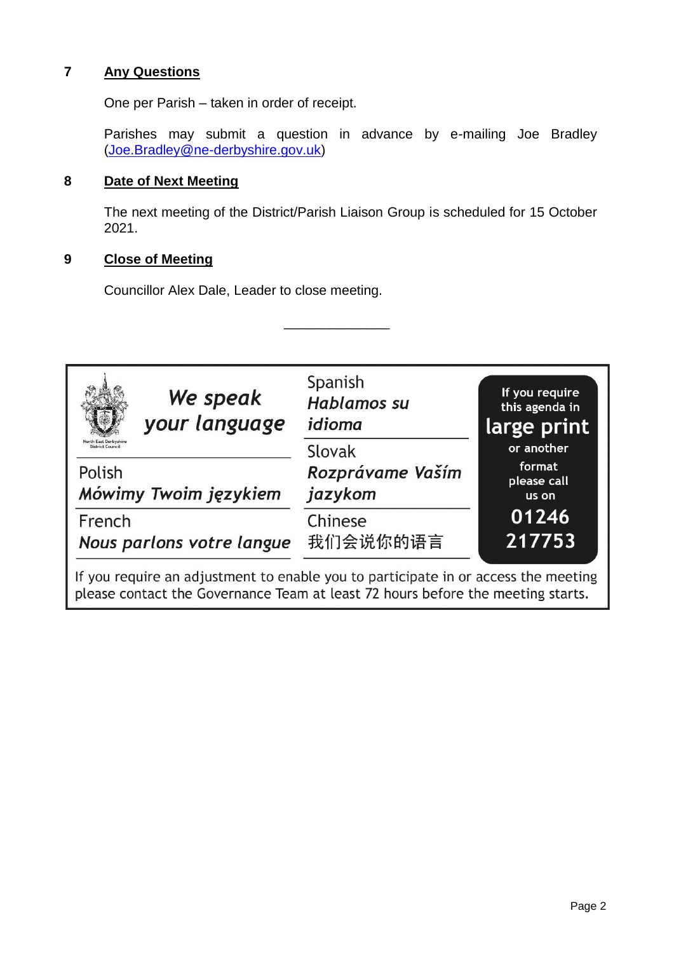### **7 Any Questions**

One per Parish – taken in order of receipt.

Parishes may submit a question in advance by e-mailing Joe Bradley [\(Joe.Bradley@ne-derbyshire.gov.uk\)](mailto:nicola.calver@ne-derbyshire.gov.uk)

### **8 Date of Next Meeting**

The next meeting of the District/Parish Liaison Group is scheduled for 15 October 2021.

### **9 Close of Meeting**

Councillor Alex Dale, Leader to close meeting.

| We speak                                                                                                                                                              | Spanish                     | If you require                 |
|-----------------------------------------------------------------------------------------------------------------------------------------------------------------------|-----------------------------|--------------------------------|
| your language                                                                                                                                                         | Hablamos su                 | this agenda in                 |
| North East Derbyshire                                                                                                                                                 | idioma                      | large print                    |
| District Council                                                                                                                                                      | Slovak                      | or another                     |
| Polish<br>Mówimy Twoim językiem                                                                                                                                       | Rozprávame Vaším<br>jazykom | format<br>please call<br>us on |
| French                                                                                                                                                                | Chinese                     | 01246                          |
| Nous parlons votre langue                                                                                                                                             | 我们会说你的语言                    | 217753                         |
| If you require an adjustment to enable you to participate in or access the meeting<br>please contact the Governance Team at least 72 hours before the meeting starts. |                             |                                |

\_\_\_\_\_\_\_\_\_\_\_\_\_\_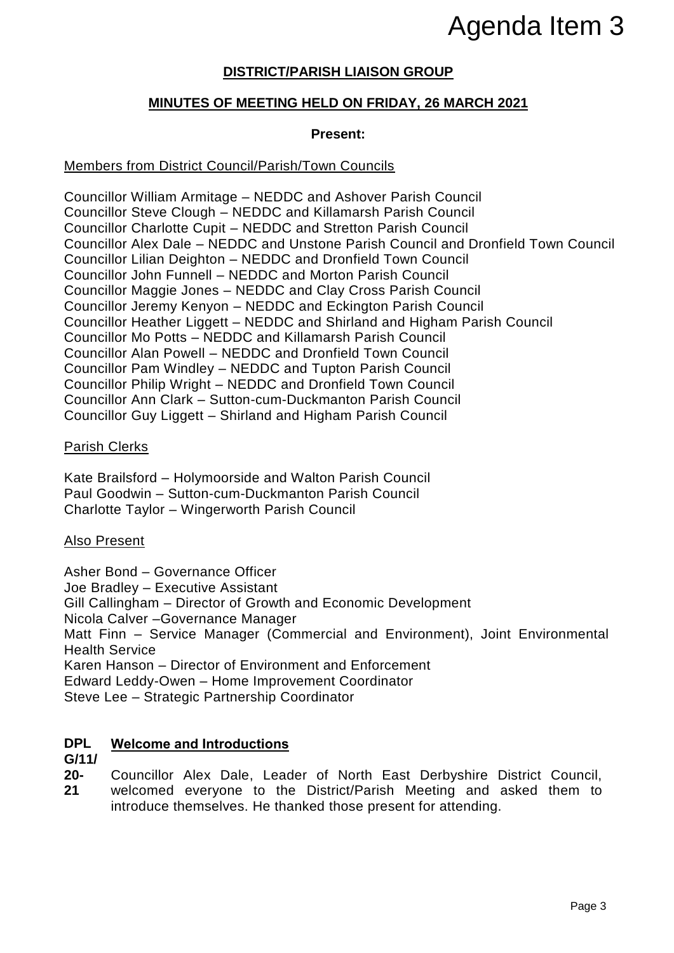# Agenda Item 3

### **DISTRICT/PARISH LIAISON GROUP**

### **MINUTES OF MEETING HELD ON FRIDAY, 26 MARCH 2021**

### **Present:**

### Members from District Council/Parish/Town Councils

Councillor William Armitage – NEDDC and Ashover Parish Council Councillor Steve Clough – NEDDC and Killamarsh Parish Council Councillor Charlotte Cupit – NEDDC and Stretton Parish Council Councillor Alex Dale – NEDDC and Unstone Parish Council and Dronfield Town Council Councillor Lilian Deighton – NEDDC and Dronfield Town Council Councillor John Funnell – NEDDC and Morton Parish Council Councillor Maggie Jones – NEDDC and Clay Cross Parish Council Councillor Jeremy Kenyon – NEDDC and Eckington Parish Council Councillor Heather Liggett – NEDDC and Shirland and Higham Parish Council Councillor Mo Potts – NEDDC and Killamarsh Parish Council Councillor Alan Powell – NEDDC and Dronfield Town Council Councillor Pam Windley – NEDDC and Tupton Parish Council Councillor Philip Wright – NEDDC and Dronfield Town Council Councillor Ann Clark – Sutton-cum-Duckmanton Parish Council Councillor Guy Liggett – Shirland and Higham Parish Council Agenda Item 3<br>
PARCH 2021<br>
PRARCH 2021<br>
PRARCH 2021<br>
PRARCH 2021<br>
PRARCH 2021<br>
PRARCH 2021<br>
PRARCH 2021<br>
PRARCH<br>
PRARCH<br>
PRARCH 2021<br>
PRARCH 2021<br>
PRARCH 2021<br>
PRARCH 2021<br>
PRARCH 2021<br>
PRARCH 2021<br>
PRARCH 2021<br>
PRARCH 202

### Parish Clerks

Kate Brailsford – Holymoorside and Walton Parish Council Paul Goodwin – Sutton-cum-Duckmanton Parish Council Charlotte Taylor – Wingerworth Parish Council

### Also Present

Asher Bond – Governance Officer Joe Bradley – Executive Assistant Gill Callingham – Director of Growth and Economic Development Nicola Calver –Governance Manager Matt Finn – Service Manager (Commercial and Environment), Joint Environmental Health Service Karen Hanson – Director of Environment and Enforcement Edward Leddy-Owen – Home Improvement Coordinator Steve Lee – Strategic Partnership Coordinator

#### **DPL Welcome and Introductions**

### **G/11/**

**20- 21** Councillor Alex Dale, Leader of North East Derbyshire District Council, welcomed everyone to the District/Parish Meeting and asked them to introduce themselves. He thanked those present for attending.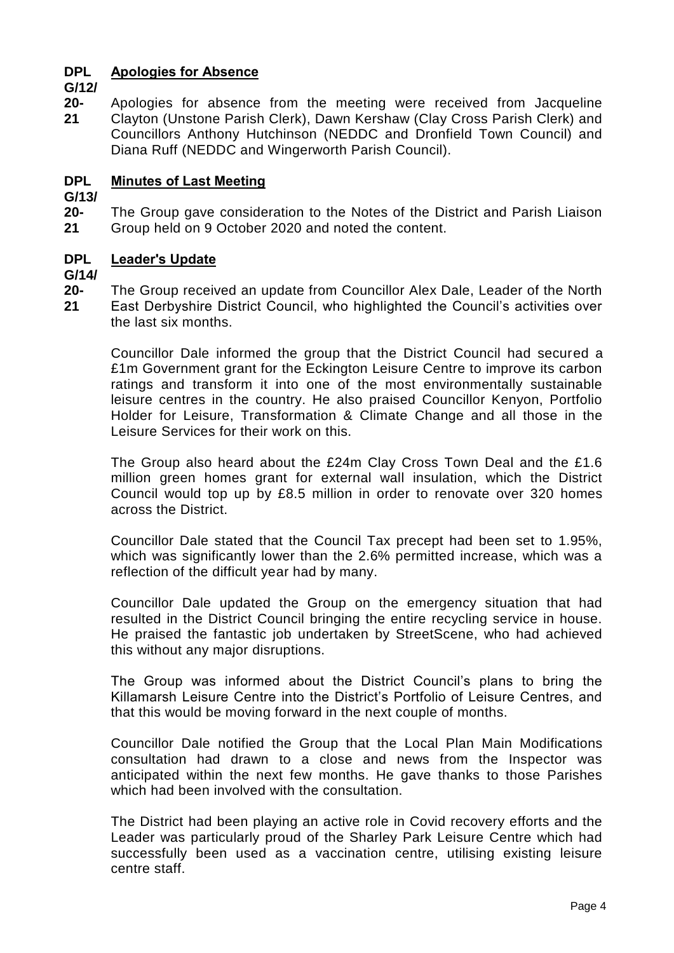#### **DPL Apologies for Absence**

**G/12/**

**20- 21** Apologies for absence from the meeting were received from Jacqueline Clayton (Unstone Parish Clerk), Dawn Kershaw (Clay Cross Parish Clerk) and Councillors Anthony Hutchinson (NEDDC and Dronfield Town Council) and Diana Ruff (NEDDC and Wingerworth Parish Council).

#### **DPL Minutes of Last Meeting**

**G/13/**

**20- 21** The Group gave consideration to the Notes of the District and Parish Liaison Group held on 9 October 2020 and noted the content.

#### **DPL Leader's Update**

**G/14/**

**20- 21** The Group received an update from Councillor Alex Dale, Leader of the North East Derbyshire District Council, who highlighted the Council's activities over the last six months.

Councillor Dale informed the group that the District Council had secured a £1m Government grant for the Eckington Leisure Centre to improve its carbon ratings and transform it into one of the most environmentally sustainable leisure centres in the country. He also praised Councillor Kenyon, Portfolio Holder for Leisure, Transformation & Climate Change and all those in the Leisure Services for their work on this.

The Group also heard about the £24m Clay Cross Town Deal and the £1.6 million green homes grant for external wall insulation, which the District Council would top up by £8.5 million in order to renovate over 320 homes across the District.

Councillor Dale stated that the Council Tax precept had been set to 1.95%, which was significantly lower than the 2.6% permitted increase, which was a reflection of the difficult year had by many.

Councillor Dale updated the Group on the emergency situation that had resulted in the District Council bringing the entire recycling service in house. He praised the fantastic job undertaken by StreetScene, who had achieved this without any major disruptions.

The Group was informed about the District Council's plans to bring the Killamarsh Leisure Centre into the District's Portfolio of Leisure Centres, and that this would be moving forward in the next couple of months.

Councillor Dale notified the Group that the Local Plan Main Modifications consultation had drawn to a close and news from the Inspector was anticipated within the next few months. He gave thanks to those Parishes which had been involved with the consultation.

The District had been playing an active role in Covid recovery efforts and the Leader was particularly proud of the Sharley Park Leisure Centre which had successfully been used as a vaccination centre, utilising existing leisure centre staff.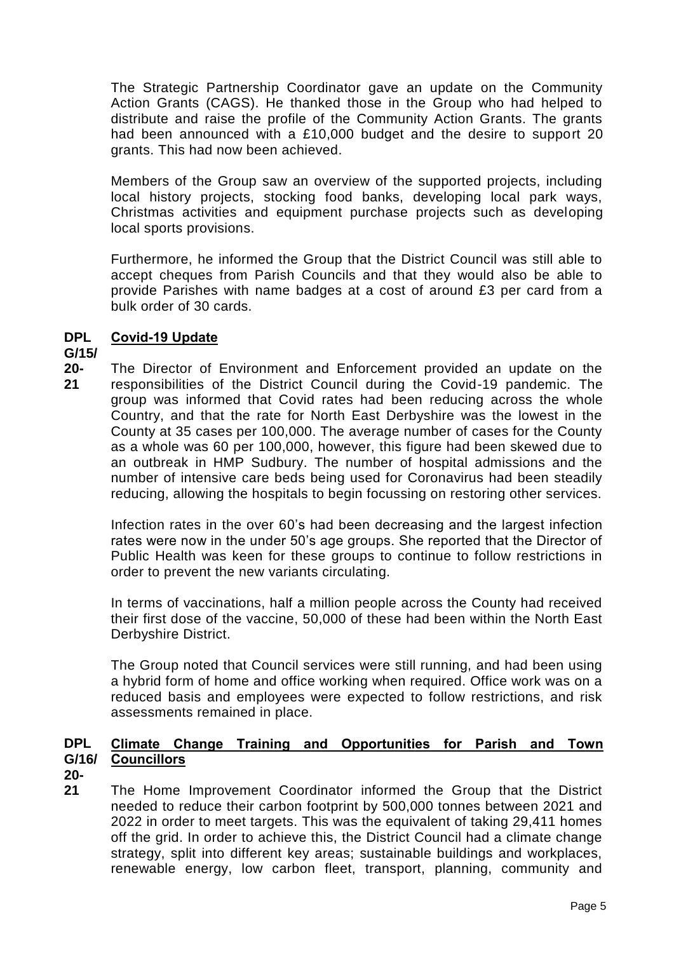The Strategic Partnership Coordinator gave an update on the Community Action Grants (CAGS). He thanked those in the Group who had helped to distribute and raise the profile of the Community Action Grants. The grants had been announced with a £10,000 budget and the desire to support 20 grants. This had now been achieved.

Members of the Group saw an overview of the supported projects, including local history projects, stocking food banks, developing local park ways, Christmas activities and equipment purchase projects such as developing local sports provisions.

Furthermore, he informed the Group that the District Council was still able to accept cheques from Parish Councils and that they would also be able to provide Parishes with name badges at a cost of around £3 per card from a bulk order of 30 cards.

#### **DPL Covid-19 Update**

### **G/15/**

**20- 21** The Director of Environment and Enforcement provided an update on the responsibilities of the District Council during the Covid-19 pandemic. The group was informed that Covid rates had been reducing across the whole Country, and that the rate for North East Derbyshire was the lowest in the County at 35 cases per 100,000. The average number of cases for the County as a whole was 60 per 100,000, however, this figure had been skewed due to an outbreak in HMP Sudbury. The number of hospital admissions and the number of intensive care beds being used for Coronavirus had been steadily reducing, allowing the hospitals to begin focussing on restoring other services.

Infection rates in the over 60's had been decreasing and the largest infection rates were now in the under 50's age groups. She reported that the Director of Public Health was keen for these groups to continue to follow restrictions in order to prevent the new variants circulating.

In terms of vaccinations, half a million people across the County had received their first dose of the vaccine, 50,000 of these had been within the North East Derbyshire District.

The Group noted that Council services were still running, and had been using a hybrid form of home and office working when required. Office work was on a reduced basis and employees were expected to follow restrictions, and risk assessments remained in place.

#### **DPL G/16/ Councillors Climate Change Training and Opportunities for Parish and Town**

- **20-**
- **21** The Home Improvement Coordinator informed the Group that the District needed to reduce their carbon footprint by 500,000 tonnes between 2021 and 2022 in order to meet targets. This was the equivalent of taking 29,411 homes off the grid. In order to achieve this, the District Council had a climate change strategy, split into different key areas; sustainable buildings and workplaces, renewable energy, low carbon fleet, transport, planning, community and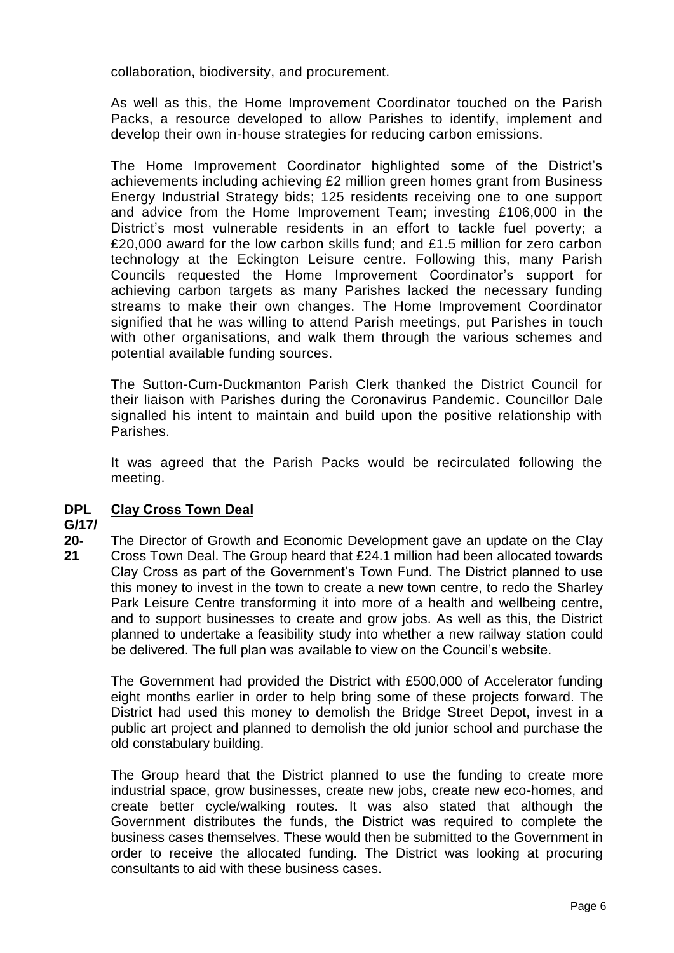collaboration, biodiversity, and procurement.

As well as this, the Home Improvement Coordinator touched on the Parish Packs, a resource developed to allow Parishes to identify, implement and develop their own in-house strategies for reducing carbon emissions.

The Home Improvement Coordinator highlighted some of the District's achievements including achieving £2 million green homes grant from Business Energy Industrial Strategy bids; 125 residents receiving one to one support and advice from the Home Improvement Team; investing £106,000 in the District's most vulnerable residents in an effort to tackle fuel poverty; a £20,000 award for the low carbon skills fund; and £1.5 million for zero carbon technology at the Eckington Leisure centre. Following this, many Parish Councils requested the Home Improvement Coordinator's support for achieving carbon targets as many Parishes lacked the necessary funding streams to make their own changes. The Home Improvement Coordinator signified that he was willing to attend Parish meetings, put Parishes in touch with other organisations, and walk them through the various schemes and potential available funding sources.

The Sutton-Cum-Duckmanton Parish Clerk thanked the District Council for their liaison with Parishes during the Coronavirus Pandemic. Councillor Dale signalled his intent to maintain and build upon the positive relationship with Parishes.

It was agreed that the Parish Packs would be recirculated following the meeting.

#### **DPL Clay Cross Town Deal**

### **G/17/**

**20- 21** The Director of Growth and Economic Development gave an update on the Clay Cross Town Deal. The Group heard that £24.1 million had been allocated towards Clay Cross as part of the Government's Town Fund. The District planned to use this money to invest in the town to create a new town centre, to redo the Sharley Park Leisure Centre transforming it into more of a health and wellbeing centre, and to support businesses to create and grow jobs. As well as this, the District planned to undertake a feasibility study into whether a new railway station could be delivered. The full plan was available to view on the Council's website.

The Government had provided the District with £500,000 of Accelerator funding eight months earlier in order to help bring some of these projects forward. The District had used this money to demolish the Bridge Street Depot, invest in a public art project and planned to demolish the old junior school and purchase the old constabulary building.

The Group heard that the District planned to use the funding to create more industrial space, grow businesses, create new jobs, create new eco-homes, and create better cycle/walking routes. It was also stated that although the Government distributes the funds, the District was required to complete the business cases themselves. These would then be submitted to the Government in order to receive the allocated funding. The District was looking at procuring consultants to aid with these business cases.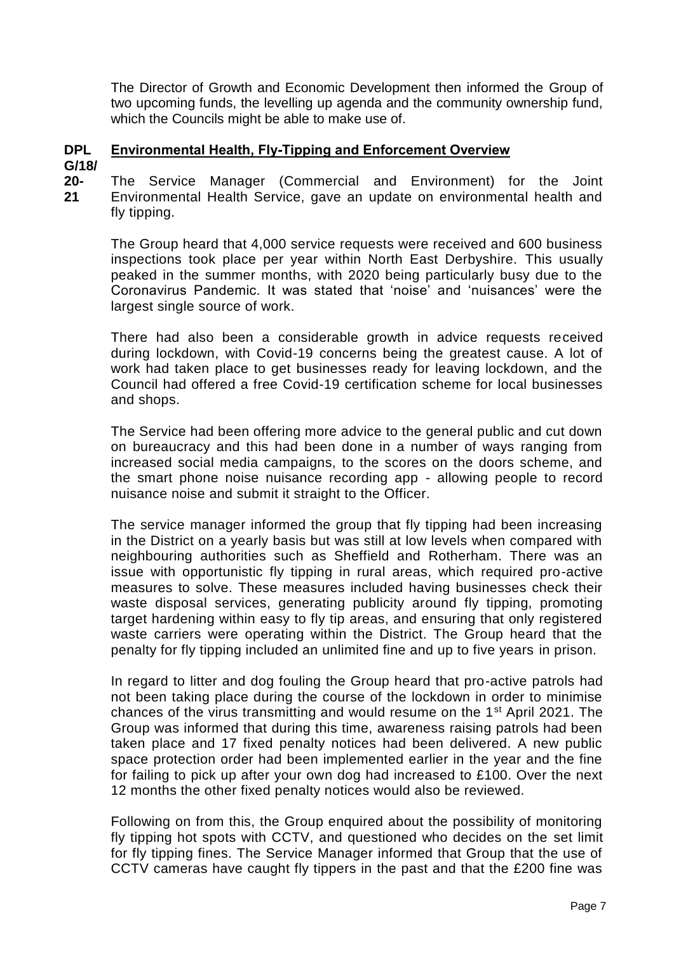The Director of Growth and Economic Development then informed the Group of two upcoming funds, the levelling up agenda and the community ownership fund, which the Councils might be able to make use of.

#### **DPL Environmental Health, Fly-Tipping and Enforcement Overview**

**G/18/**

**20- 21** The Service Manager (Commercial and Environment) for the Joint Environmental Health Service, gave an update on environmental health and fly tipping.

The Group heard that 4,000 service requests were received and 600 business inspections took place per year within North East Derbyshire. This usually peaked in the summer months, with 2020 being particularly busy due to the Coronavirus Pandemic. It was stated that 'noise' and 'nuisances' were the largest single source of work.

There had also been a considerable growth in advice requests received during lockdown, with Covid-19 concerns being the greatest cause. A lot of work had taken place to get businesses ready for leaving lockdown, and the Council had offered a free Covid-19 certification scheme for local businesses and shops.

The Service had been offering more advice to the general public and cut down on bureaucracy and this had been done in a number of ways ranging from increased social media campaigns, to the scores on the doors scheme, and the smart phone noise nuisance recording app - allowing people to record nuisance noise and submit it straight to the Officer.

The service manager informed the group that fly tipping had been increasing in the District on a yearly basis but was still at low levels when compared with neighbouring authorities such as Sheffield and Rotherham. There was an issue with opportunistic fly tipping in rural areas, which required pro-active measures to solve. These measures included having businesses check their waste disposal services, generating publicity around fly tipping, promoting target hardening within easy to fly tip areas, and ensuring that only registered waste carriers were operating within the District. The Group heard that the penalty for fly tipping included an unlimited fine and up to five years in prison.

In regard to litter and dog fouling the Group heard that pro-active patrols had not been taking place during the course of the lockdown in order to minimise chances of the virus transmitting and would resume on the 1st April 2021. The Group was informed that during this time, awareness raising patrols had been taken place and 17 fixed penalty notices had been delivered. A new public space protection order had been implemented earlier in the year and the fine for failing to pick up after your own dog had increased to £100. Over the next 12 months the other fixed penalty notices would also be reviewed.

Following on from this, the Group enquired about the possibility of monitoring fly tipping hot spots with CCTV, and questioned who decides on the set limit for fly tipping fines. The Service Manager informed that Group that the use of CCTV cameras have caught fly tippers in the past and that the £200 fine was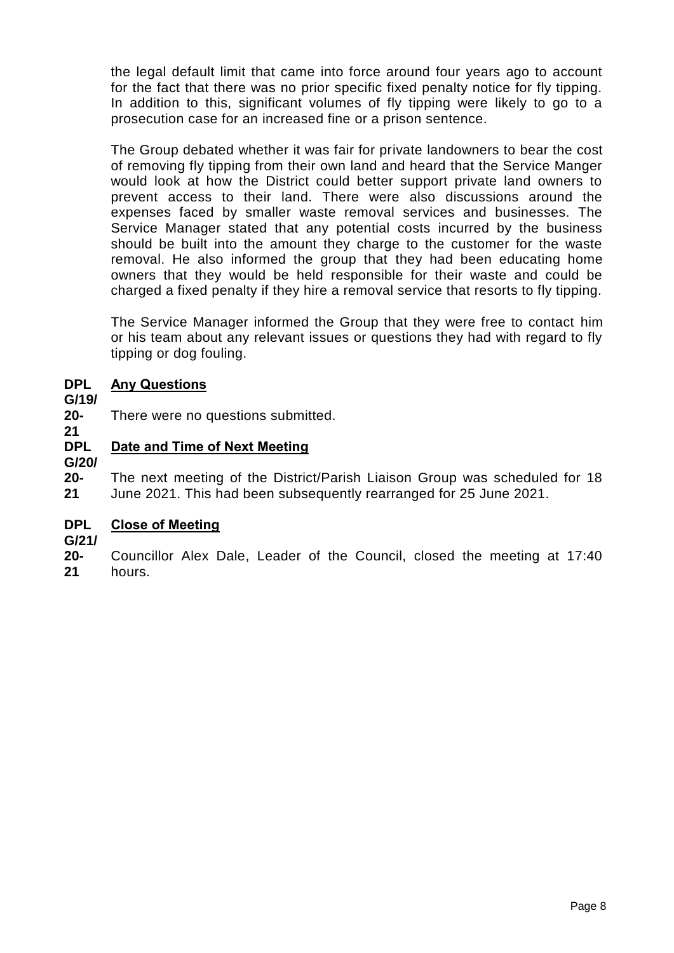the legal default limit that came into force around four years ago to account for the fact that there was no prior specific fixed penalty notice for fly tipping. In addition to this, significant volumes of fly tipping were likely to go to a prosecution case for an increased fine or a prison sentence.

The Group debated whether it was fair for private landowners to bear the cost of removing fly tipping from their own land and heard that the Service Manger would look at how the District could better support private land owners to prevent access to their land. There were also discussions around the expenses faced by smaller waste removal services and businesses. The Service Manager stated that any potential costs incurred by the business should be built into the amount they charge to the customer for the waste removal. He also informed the group that they had been educating home owners that they would be held responsible for their waste and could be charged a fixed penalty if they hire a removal service that resorts to fly tipping.

The Service Manager informed the Group that they were free to contact him or his team about any relevant issues or questions they had with regard to fly tipping or dog fouling.

#### **DPL Any Questions**

### **G/19/**

**21**

**20-** There were no questions submitted.

#### **DPL Date and Time of Next Meeting**

**G/20/**

**20- 21** The next meeting of the District/Parish Liaison Group was scheduled for 18 June 2021. This had been subsequently rearranged for 25 June 2021.

#### **DPL Close of Meeting**

**G/21/**

**20- 21** Councillor Alex Dale, Leader of the Council, closed the meeting at 17:40 hours.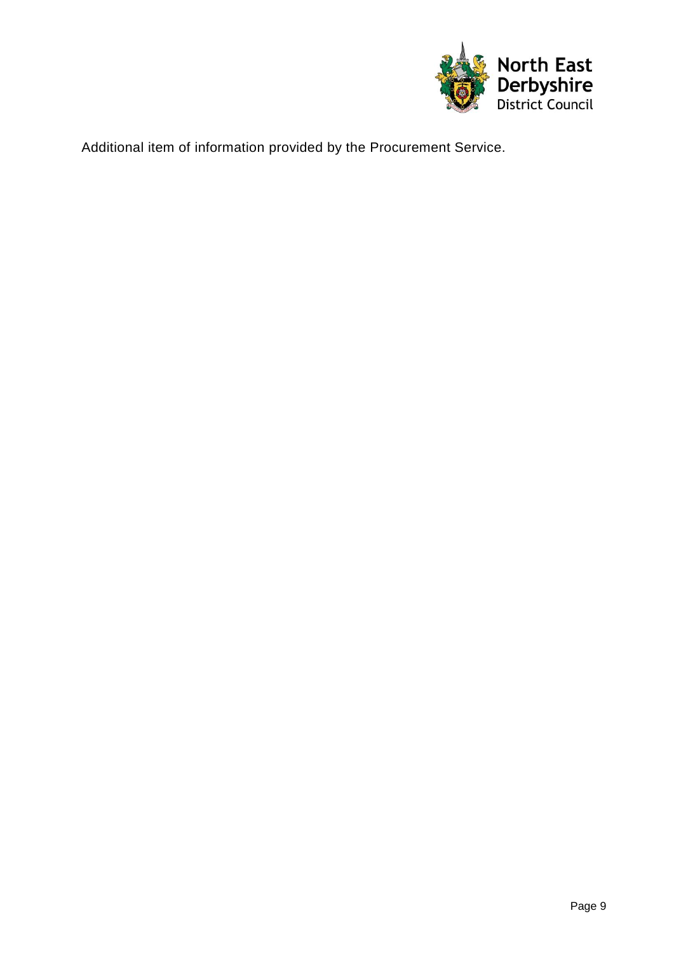

Additional item of information provided by the Procurement Service.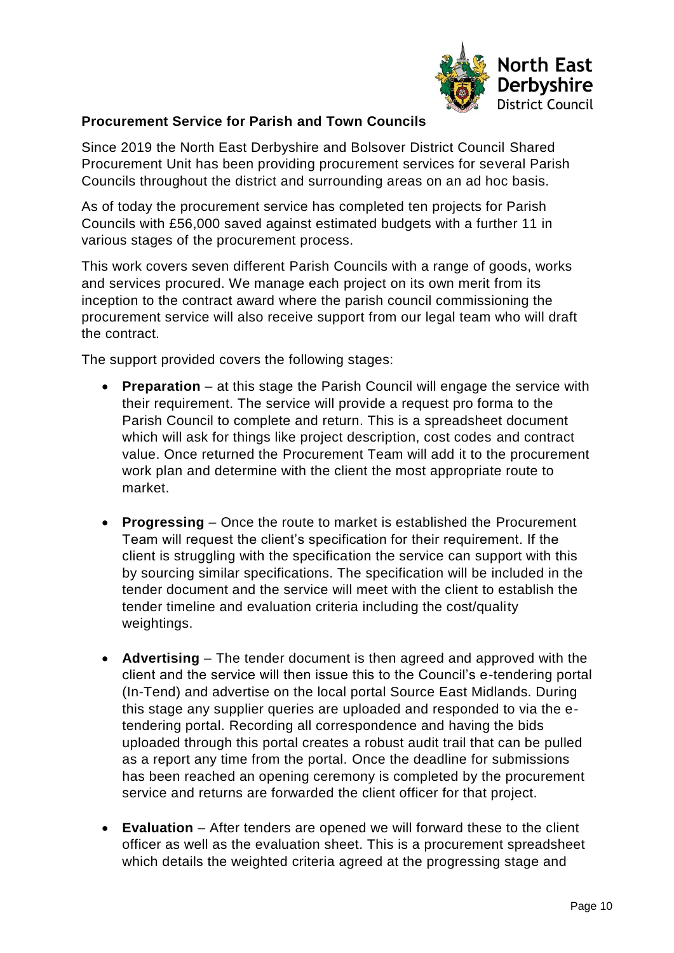

### **Procurement Service for Parish and Town Councils**

Since 2019 the North East Derbyshire and Bolsover District Council Shared Procurement Unit has been providing procurement services for several Parish Councils throughout the district and surrounding areas on an ad hoc basis.

As of today the procurement service has completed ten projects for Parish Councils with £56,000 saved against estimated budgets with a further 11 in various stages of the procurement process.

This work covers seven different Parish Councils with a range of goods, works and services procured. We manage each project on its own merit from its inception to the contract award where the parish council commissioning the procurement service will also receive support from our legal team who will draft the contract.

The support provided covers the following stages:

- **Preparation** at this stage the Parish Council will engage the service with their requirement. The service will provide a request pro forma to the Parish Council to complete and return. This is a spreadsheet document which will ask for things like project description, cost codes and contract value. Once returned the Procurement Team will add it to the procurement work plan and determine with the client the most appropriate route to market.
- **Progressing** Once the route to market is established the Procurement Team will request the client's specification for their requirement. If the client is struggling with the specification the service can support with this by sourcing similar specifications. The specification will be included in the tender document and the service will meet with the client to establish the tender timeline and evaluation criteria including the cost/quality weightings.
- **Advertising** The tender document is then agreed and approved with the client and the service will then issue this to the Council's e-tendering portal (In-Tend) and advertise on the local portal Source East Midlands. During this stage any supplier queries are uploaded and responded to via the etendering portal. Recording all correspondence and having the bids uploaded through this portal creates a robust audit trail that can be pulled as a report any time from the portal. Once the deadline for submissions has been reached an opening ceremony is completed by the procurement service and returns are forwarded the client officer for that project.
- **Evaluation** After tenders are opened we will forward these to the client officer as well as the evaluation sheet. This is a procurement spreadsheet which details the weighted criteria agreed at the progressing stage and